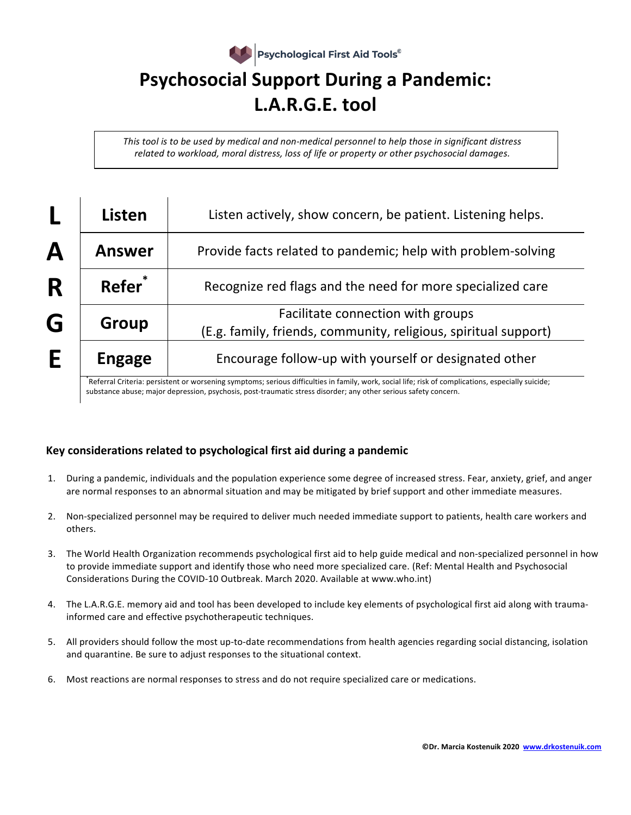

*This* tool is to be used by medical and non-medical personnel to help those in significant distress *related to workload, moral distress, loss of life or property or other psychosocial damages.* 

|   | <b>Listen</b>      | Listen actively, show concern, be patient. Listening helps.                                          |
|---|--------------------|------------------------------------------------------------------------------------------------------|
| Α | <b>Answer</b>      | Provide facts related to pandemic; help with problem-solving                                         |
| R | Refer <sup>*</sup> | Recognize red flags and the need for more specialized care                                           |
| G | Group              | Facilitate connection with groups<br>(E.g. family, friends, community, religious, spiritual support) |
| E | <b>Engage</b>      | Encourage follow-up with yourself or designated other                                                |

\*Referral Criteria: persistent or worsening symptoms; serious difficulties in family, work, social life; risk of complications, especially suicide; substance abuse; major depression, psychosis, post-traumatic stress disorder; any other serious safety concern.

## **Key considerations related to psychological first aid during a pandemic**

- 1. During a pandemic, individuals and the population experience some degree of increased stress. Fear, anxiety, grief, and anger are normal responses to an abnormal situation and may be mitigated by brief support and other immediate measures.
- 2. Non-specialized personnel may be required to deliver much needed immediate support to patients, health care workers and others.
- 3. The World Health Organization recommends psychological first aid to help guide medical and non-specialized personnel in how to provide immediate support and identify those who need more specialized care. (Ref: Mental Health and Psychosocial Considerations During the COVID-10 Outbreak. March 2020. Available at www.who.int)
- 4. The L.A.R.G.E. memory aid and tool has been developed to include key elements of psychological first aid along with traumainformed care and effective psychotherapeutic techniques.
- 5. All providers should follow the most up-to-date recommendations from health agencies regarding social distancing, isolation and quarantine. Be sure to adjust responses to the situational context.
- 6. Most reactions are normal responses to stress and do not require specialized care or medications.